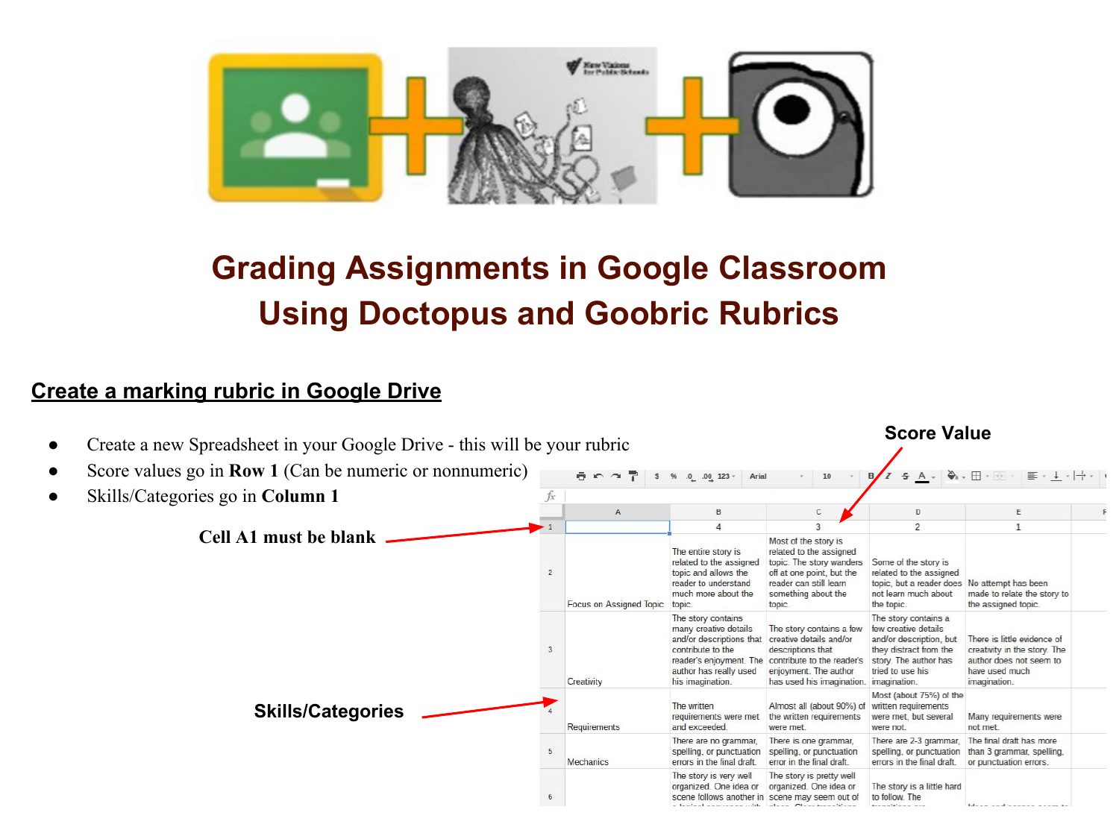

# **Grading Assignments in Google Classroom Using Doctopus and Goobric Rubrics**

## **Create a marking rubric in Google Drive**

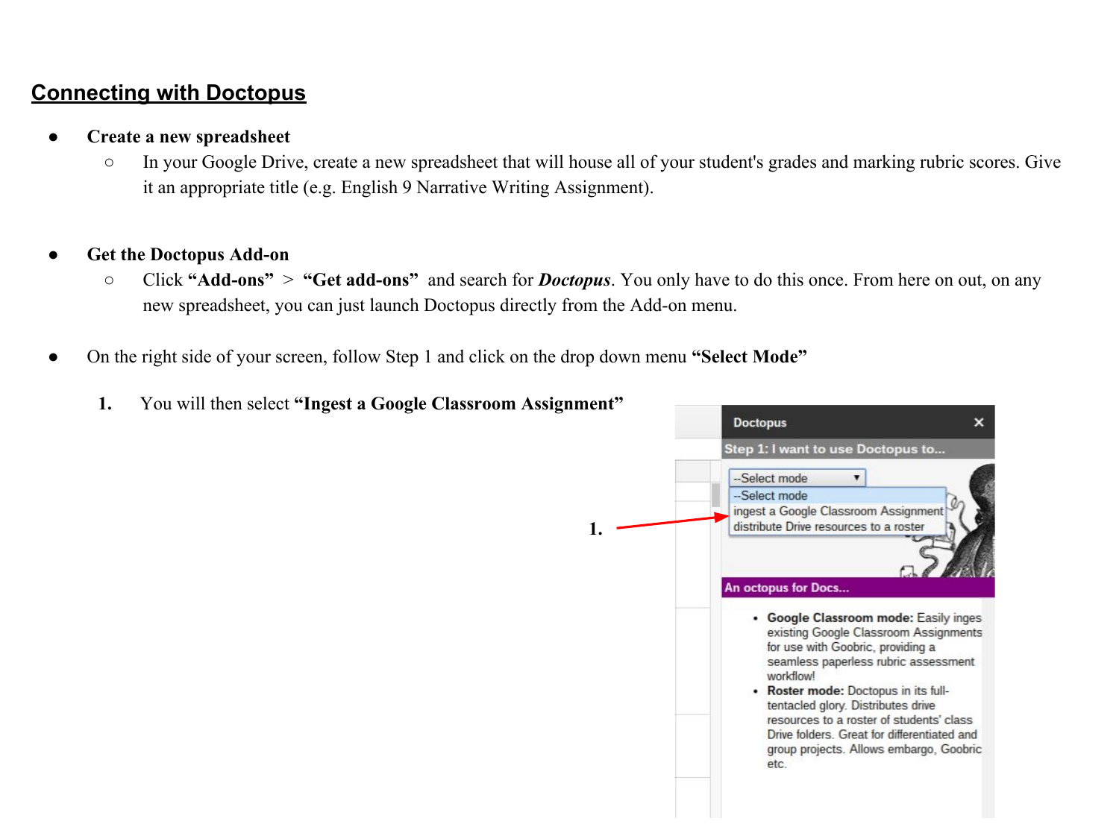## **Connecting with Doctopus**

- **● Create a new spreadsheet**
	- In your Google Drive, create a new spreadsheet that will house all of your student's grades and marking rubric scores. Give it an appropriate title (e.g. English 9 Narrative Writing Assignment).
- **● Get the Doctopus Add-on**
	- Click **"Add-ons"** > **"Get add-ons"** and search for *Doctopus*. You only have to do this once. From here on out, on any new spreadsheet, you can just launch Doctopus directly from the Add-on menu.
- On the right side of your screen, follow Step 1 and click on the drop down menu "Select Mode"
	- **1.** You will then select **"Ingest a Google Classroom Assignment" Doctopus**  $\mathsf{x}$ Step 1: I want to use Doctopus to... -Select mode  $\blacksquare$ --Select mode ingest a Google Classroom Assignment distribute Drive resources to a roster **1.** An octopus for Docs... • Google Classroom mode: Easily inges existing Google Classroom Assignments for use with Goobric, providing a seamless paperless rubric assessment workflowl • Roster mode: Doctopus in its fulltentacled glory. Distributes drive resources to a roster of students' class Drive folders. Great for differentiated and group projects. Allows embargo, Goobric etc.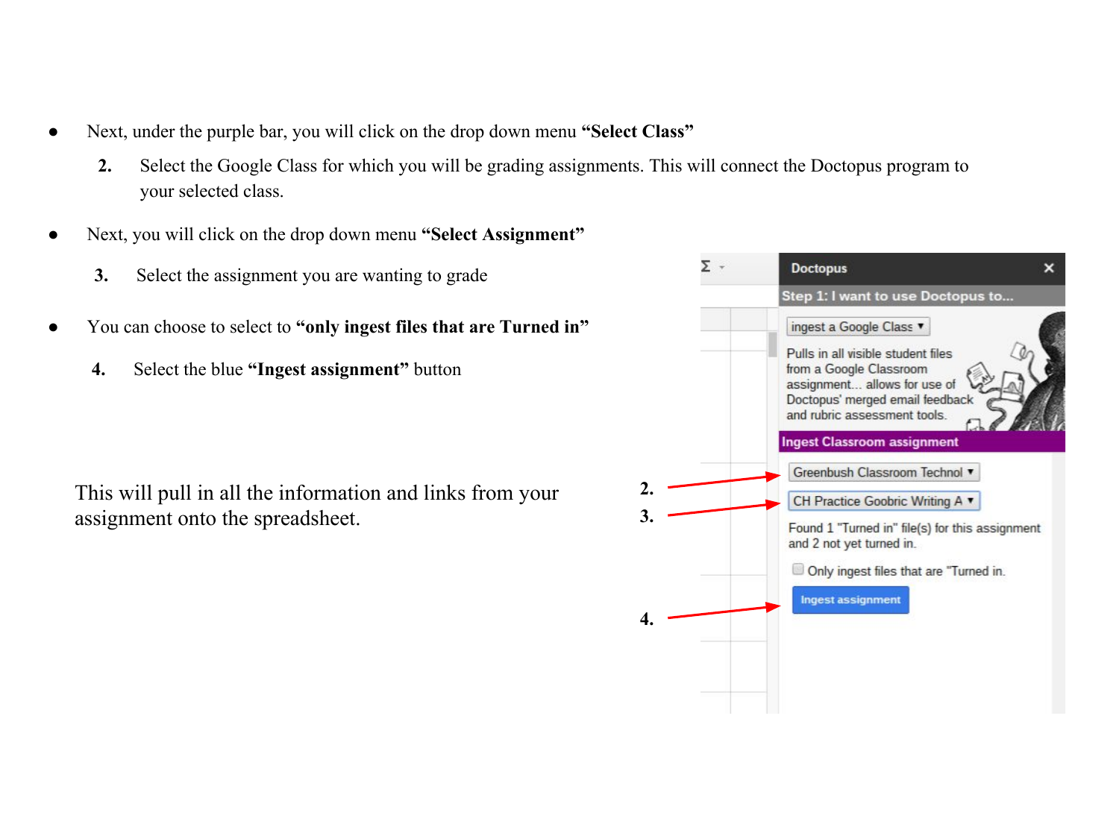- Next, under the purple bar, you will click on the drop down menu **"Select Class"** 
	- **2.** Select the Google Class for which you will be grading assignments. This will connect the Doctopus program to your selected class.
- Next, you will click on the drop down menu "Select Assignment"
	- **3.** Select the assignment you are wanting to grade
- You can choose to select to **"only ingest files that are Turned in"**
	- **4.** Select the blue **"Ingest assignment"** button

This will pull in all the information and links from your assignment onto the spreadsheet.

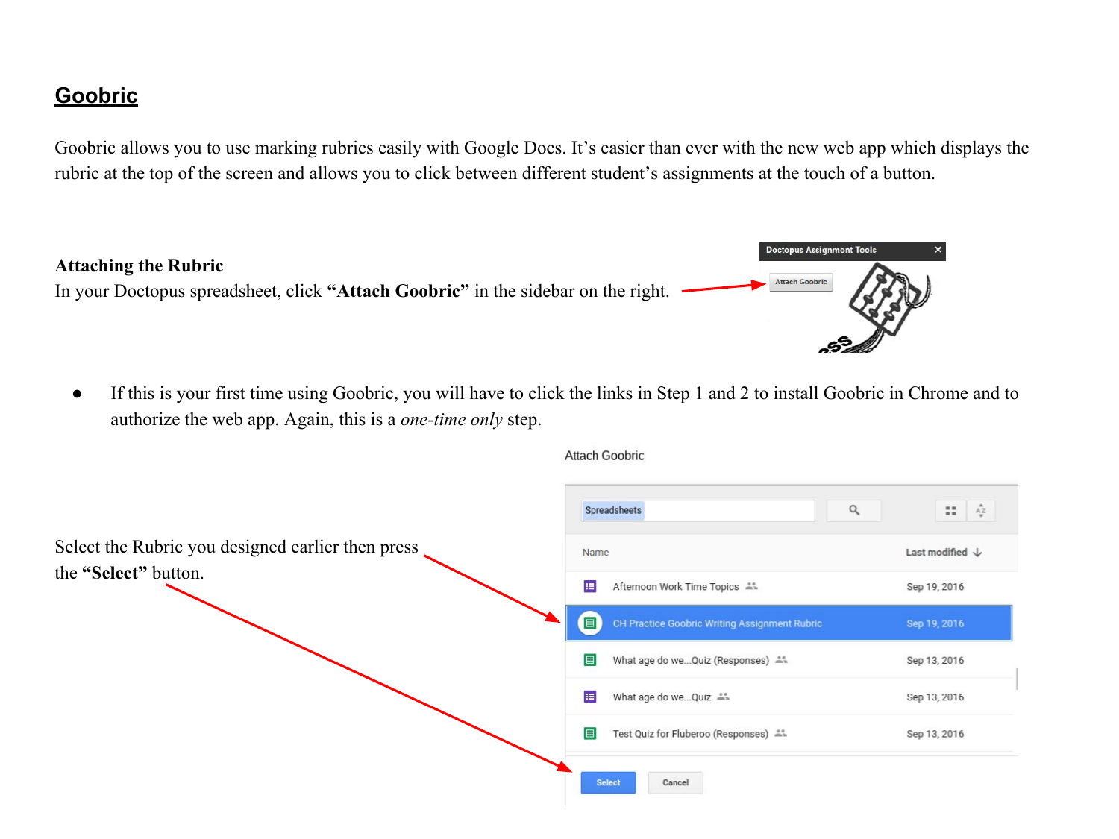## **Goobric**

Goobric allows you to use marking rubrics easily with Google Docs. It's easier than ever with the new web app which displays the rubric at the top of the screen and allows you to click between different student's assignments at the touch of a button.



● If this is your first time using Goobric, you will have to click the links in Step 1 and 2 to install Goobric in Chrome and to authorize the web app. Again, this is a *one-time only* step.

|                                                   | Q<br>Spreadsheets                                  | $\mathop{\mathsf{A}\mathsf{Z}}_v$<br>22 |
|---------------------------------------------------|----------------------------------------------------|-----------------------------------------|
| Select the Rubric you designed earlier then press | Name                                               | Last modified $\downarrow$              |
| the "Select" button.                              | 目<br>Afternoon Work Time Topics #1                 | Sep 19, 2016                            |
|                                                   | 国<br>CH Practice Goobric Writing Assignment Rubric | Sep 19, 2016                            |
|                                                   | 田<br>What age do weQuiz (Responses) **             | Sep 13, 2016                            |
|                                                   | E<br>What age do weQuiz "                          | Sep 13, 2016                            |
|                                                   | 田<br>Test Quiz for Fluberoo (Responses) **         | Sep 13, 2016                            |
|                                                   | <b>Select</b><br>Cancel                            |                                         |

**Attach Goobric**